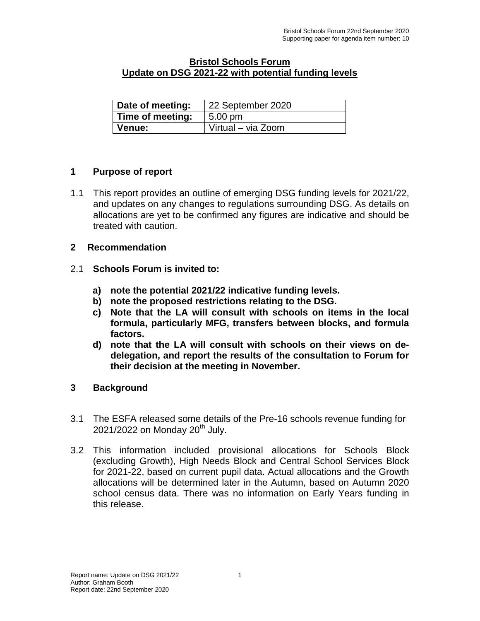### **Bristol Schools Forum Update on DSG 2021-22 with potential funding levels**

| Date of meeting: | 22 September 2020  |
|------------------|--------------------|
| Time of meeting: | $5.00 \text{ pm}$  |
| Venue:           | Virtual - via Zoom |

## **1 Purpose of report**

1.1 This report provides an outline of emerging DSG funding levels for 2021/22, and updates on any changes to regulations surrounding DSG. As details on allocations are yet to be confirmed any figures are indicative and should be treated with caution.

#### **2 Recommendation**

- 2.1 **Schools Forum is invited to:**
	- **a) note the potential 2021/22 indicative funding levels.**
	- **b) note the proposed restrictions relating to the DSG.**
	- **c) Note that the LA will consult with schools on items in the local formula, particularly MFG, transfers between blocks, and formula factors.**
	- **d) note that the LA will consult with schools on their views on dedelegation, and report the results of the consultation to Forum for their decision at the meeting in November.**
- **3 Background**
- 3.1 The ESFA released some details of the Pre-16 schools revenue funding for  $2021/2022$  on Monday  $20<sup>th</sup>$  July.
- 3.2 This information included provisional allocations for Schools Block (excluding Growth), High Needs Block and Central School Services Block for 2021-22, based on current pupil data. Actual allocations and the Growth allocations will be determined later in the Autumn, based on Autumn 2020 school census data. There was no information on Early Years funding in this release.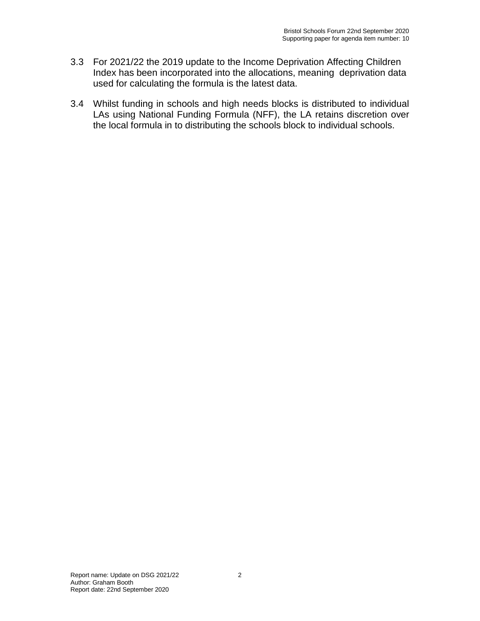- 3.3 For 2021/22 the 2019 update to the Income Deprivation Affecting Children Index has been incorporated into the allocations, meaning deprivation data used for calculating the formula is the latest data.
- 3.4 Whilst funding in schools and high needs blocks is distributed to individual LAs using National Funding Formula (NFF), the LA retains discretion over the local formula in to distributing the schools block to individual schools.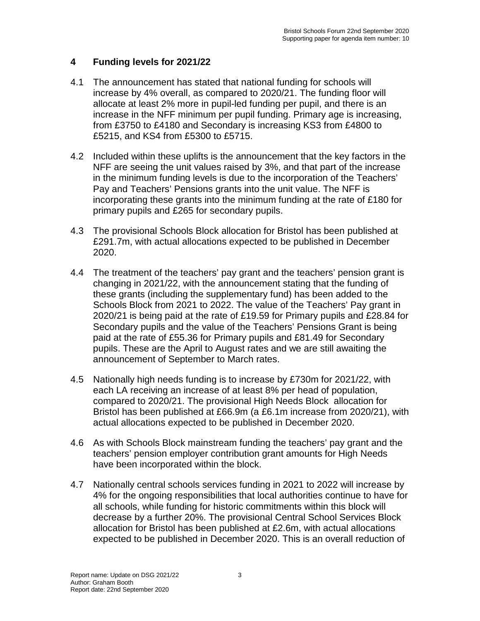# **4 Funding levels for 2021/22**

- 4.1 The announcement has stated that national funding for schools will increase by 4% overall, as compared to 2020/21. The funding floor will allocate at least 2% more in pupil-led funding per pupil, and there is an increase in the NFF minimum per pupil funding. Primary age is increasing, from £3750 to £4180 and Secondary is increasing KS3 from £4800 to £5215, and KS4 from £5300 to £5715.
- 4.2 Included within these uplifts is the announcement that the key factors in the NFF are seeing the unit values raised by 3%, and that part of the increase in the minimum funding levels is due to the incorporation of the Teachers' Pay and Teachers' Pensions grants into the unit value. The NFF is incorporating these grants into the minimum funding at the rate of £180 for primary pupils and £265 for secondary pupils.
- 4.3 The provisional Schools Block allocation for Bristol has been published at £291.7m, with actual allocations expected to be published in December 2020.
- 4.4 The treatment of the teachers' pay grant and the teachers' pension grant is changing in 2021/22, with the announcement stating that the funding of these grants (including the supplementary fund) has been added to the Schools Block from 2021 to 2022. The value of the Teachers' Pay grant in 2020/21 is being paid at the rate of £19.59 for Primary pupils and £28.84 for Secondary pupils and the value of the Teachers' Pensions Grant is being paid at the rate of £55.36 for Primary pupils and £81.49 for Secondary pupils. These are the April to August rates and we are still awaiting the announcement of September to March rates.
- 4.5 Nationally high needs funding is to increase by £730m for 2021/22, with each LA receiving an increase of at least 8% per head of population, compared to 2020/21. The provisional High Needs Block allocation for Bristol has been published at £66.9m (a £6.1m increase from 2020/21), with actual allocations expected to be published in December 2020.
- 4.6 As with Schools Block mainstream funding the teachers' pay grant and the teachers' pension employer contribution grant amounts for High Needs have been incorporated within the block.
- 4.7 Nationally central schools services funding in 2021 to 2022 will increase by 4% for the ongoing responsibilities that local authorities continue to have for all schools, while funding for historic commitments within this block will decrease by a further 20%. The provisional Central School Services Block allocation for Bristol has been published at £2.6m, with actual allocations expected to be published in December 2020. This is an overall reduction of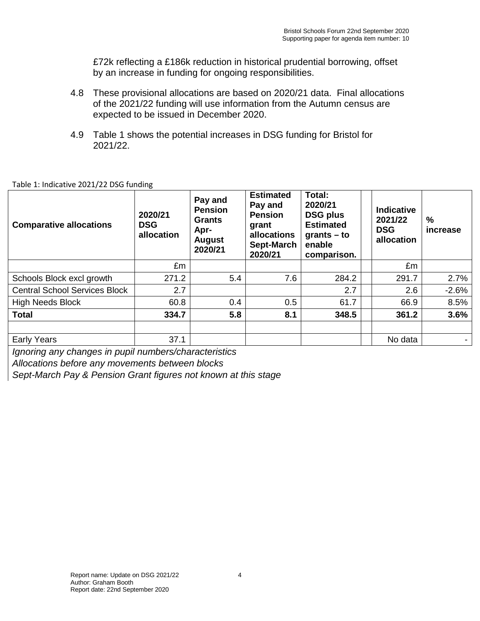£72k reflecting a £186k reduction in historical prudential borrowing, offset by an increase in funding for ongoing responsibilities.

- 4.8 These provisional allocations are based on 2020/21 data. Final allocations of the 2021/22 funding will use information from the Autumn census are expected to be issued in December 2020.
- 4.9 Table 1 shows the potential increases in DSG funding for Bristol for 2021/22.

| <b>Comparative allocations</b>       | 2020/21<br><b>DSG</b><br>allocation | Pay and<br><b>Pension</b><br><b>Grants</b><br>Apr-<br><b>August</b><br>2020/21 | <b>Estimated</b><br>Pay and<br><b>Pension</b><br>grant<br>allocations<br>Sept-March<br>2020/21 | Total:<br>2020/21<br><b>DSG plus</b><br><b>Estimated</b><br>$grants - to$<br>enable<br>comparison. | Indicative<br>2021/22<br><b>DSG</b><br>allocation | %<br>increase |
|--------------------------------------|-------------------------------------|--------------------------------------------------------------------------------|------------------------------------------------------------------------------------------------|----------------------------------------------------------------------------------------------------|---------------------------------------------------|---------------|
|                                      | £m                                  |                                                                                |                                                                                                |                                                                                                    | £m                                                |               |
| Schools Block excl growth            | 271.2                               | 5.4                                                                            | 7.6                                                                                            | 284.2                                                                                              | 291.7                                             | 2.7%          |
| <b>Central School Services Block</b> | 2.7                                 |                                                                                |                                                                                                | 2.7                                                                                                | 2.6                                               | $-2.6%$       |
| <b>High Needs Block</b>              | 60.8                                | 0.4                                                                            | 0.5                                                                                            | 61.7                                                                                               | 66.9                                              | 8.5%          |
| <b>Total</b>                         | 334.7                               | 5.8                                                                            | 8.1                                                                                            | 348.5                                                                                              | 361.2                                             | 3.6%          |
|                                      |                                     |                                                                                |                                                                                                |                                                                                                    |                                                   |               |
| <b>Early Years</b>                   | 37.1                                |                                                                                |                                                                                                |                                                                                                    | No data                                           |               |

*Ignoring any changes in pupil numbers/characteristics*

*Allocations before any movements between blocks*

*Sept-March Pay & Pension Grant figures not known at this stage*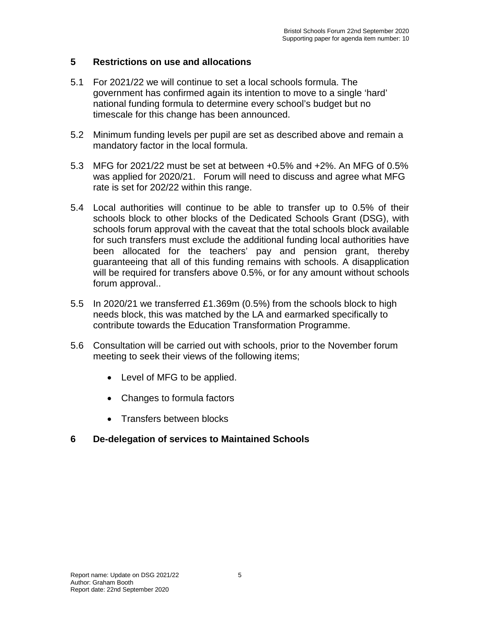## **5 Restrictions on use and allocations**

- 5.1 For 2021/22 we will continue to set a local schools formula. The government has confirmed again its intention to move to a single 'hard' national funding formula to determine every school's budget but no timescale for this change has been announced.
- 5.2 Minimum funding levels per pupil are set as described above and remain a mandatory factor in the local formula.
- 5.3 MFG for 2021/22 must be set at between +0.5% and +2%. An MFG of 0.5% was applied for 2020/21. Forum will need to discuss and agree what MFG rate is set for 202/22 within this range.
- 5.4 Local authorities will continue to be able to transfer up to 0.5% of their schools block to other blocks of the Dedicated Schools Grant (DSG), with schools forum approval with the caveat that the total schools block available for such transfers must exclude the additional funding local authorities have been allocated for the teachers' pay and pension grant, thereby guaranteeing that all of this funding remains with schools. A disapplication will be required for transfers above 0.5%, or for any amount without schools forum approval..
- 5.5 In 2020/21 we transferred £1.369m (0.5%) from the schools block to high needs block, this was matched by the LA and earmarked specifically to contribute towards the Education Transformation Programme.
- 5.6 Consultation will be carried out with schools, prior to the November forum meeting to seek their views of the following items;
	- Level of MFG to be applied.
	- Changes to formula factors
	- Transfers between blocks
- **6 De-delegation of services to Maintained Schools**